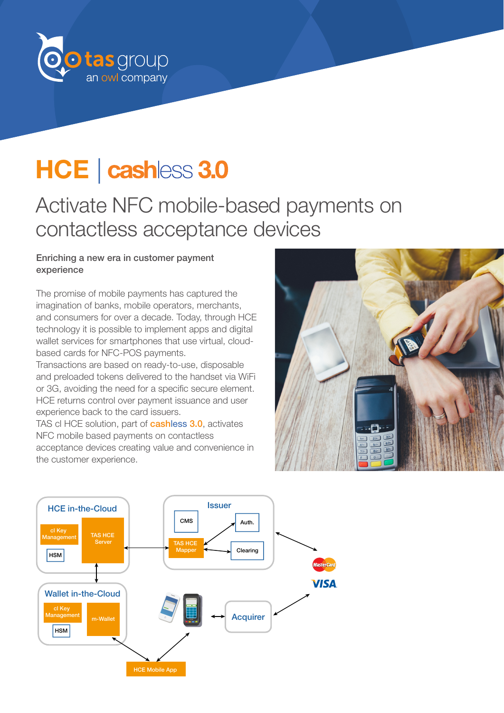

# HCE | cashless 3.0

# Activate NFC mobile-based payments on contactless acceptance devices

#### Enriching a new era in customer payment experience

The promise of mobile payments has captured the imagination of banks, mobile operators, merchants, and consumers for over a decade. Today, through HCE technology it is possible to implement apps and digital wallet services for smartphones that use virtual, cloudbased cards for NFC-POS payments.

Transactions are based on ready-to-use, disposable and preloaded tokens delivered to the handset via WiFi or 3G, avoiding the need for a specific secure element. HCE returns control over payment issuance and user experience back to the card issuers.

TAS cl HCE solution, part of **cashless 3.0**, activates NFC mobile based payments on contactless acceptance devices creating value and convenience in the customer experience.